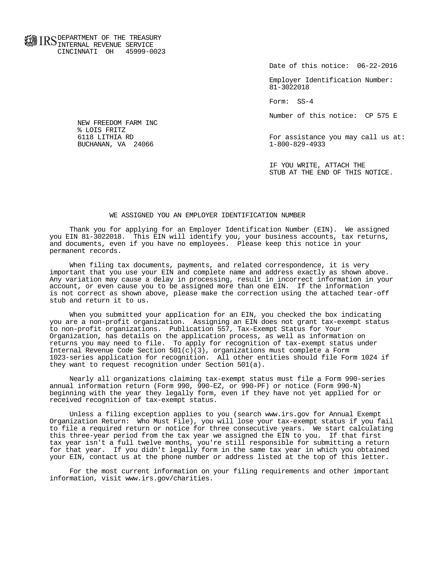**FOR ID C** DEPARTMENT OF THE TREASURY **WWW IIND** INTERNAL REVENUE SERVICE CINCINNATI OH 45999-0023

Date of this notice: 06-22-2016

 Employer Identification Number: 81-3022018

Form: SS-4

Number of this notice: CP 575 E

For assistance you may call us at:<br> $1-800-829-4933$ 

 IF YOU WRITE, ATTACH THE STUB AT THE END OF THIS NOTICE.

### WE ASSIGNED YOU AN EMPLOYER IDENTIFICATION NUMBER

 Thank you for applying for an Employer Identification Number (EIN). We assigned you EIN 81-3022018. This EIN will identify you, your business accounts, tax returns, and documents, even if you have no employees. Please keep this notice in your permanent records.

 When filing tax documents, payments, and related correspondence, it is very important that you use your EIN and complete name and address exactly as shown above. Any variation may cause a delay in processing, result in incorrect information in your account, or even cause you to be assigned more than one EIN. If the information is not correct as shown above, please make the correction using the attached tear-off stub and return it to us.

 When you submitted your application for an EIN, you checked the box indicating you are a non-profit organization. Assigning an EIN does not grant tax-exempt status to non-profit organizations. Publication 557, Tax-Exempt Status for Your Organization, has details on the application process, as well as information on returns you may need to file. To apply for recognition of tax-exempt status under Internal Revenue Code Section  $501(c)(3)$ , organizations must complete a Form 1023-series application for recognition. All other entities should file Form 1024 if they want to request recognition under Section 501(a).

 Nearly all organizations claiming tax-exempt status must file a Form 990-series annual information return (Form 990, 990-EZ, or 990-PF) or notice (Form 990-N) beginning with the year they legally form, even if they have not yet applied for or received recognition of tax-exempt status.

 Unless a filing exception applies to you (search www.irs.gov for Annual Exempt Organization Return: Who Must File), you will lose your tax-exempt status if you fail to file a required return or notice for three consecutive years. We start calculating this three-year period from the tax year we assigned the EIN to you. If that first tax year isn't a full twelve months, you're still responsible for submitting a return for that year. If you didn't legally form in the same tax year in which you obtained your EIN, contact us at the phone number or address listed at the top of this letter.

 For the most current information on your filing requirements and other important information, visit www.irs.gov/charities.

 NEW FREEDOM FARM INC % LOIS FRITZ<br>6118 LITHIA RD BUCHANAN, VA 24066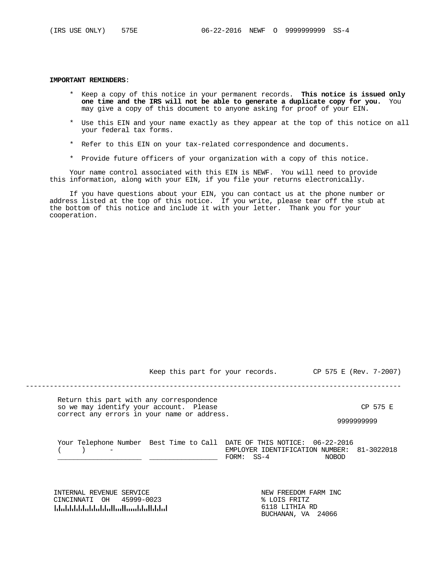#### **IMPORTANT REMINDERS**:

- \* Keep a copy of this notice in your permanent records. **This notice is issued only one time and the IRS will not be able to generate a duplicate copy for you.** You may give a copy of this document to anyone asking for proof of your EIN.
- \* Use this EIN and your name exactly as they appear at the top of this notice on all your federal tax forms.
- \* Refer to this EIN on your tax-related correspondence and documents.
- \* Provide future officers of your organization with a copy of this notice.

 Your name control associated with this EIN is NEWF. You will need to provide this information, along with your EIN, if you file your returns electronically.

 If you have questions about your EIN, you can contact us at the phone number or address listed at the top of this notice. If you write, please tear off the stub at the bottom of this notice and include it with your letter. Thank you for your cooperation.

Keep this part for your records. CP 575 E (Rev. 7-2007)

----------------------------------------------------------------------------------------------

 Return this part with any correspondence so we may identify your account. Please CP 575 E correct any errors in your name or address.

9999999999

| Your Telephone Number Best Time to Call DATE OF THIS NOTICE: 06-22-2016 |                                            |              |  |
|-------------------------------------------------------------------------|--------------------------------------------|--------------|--|
|                                                                         | EMPLOYER IDENTIFICATION NUMBER: 81-3022018 |              |  |
|                                                                         | $FORM:$ $SS-4$                             | <b>NOBOD</b> |  |

 INTERNAL REVENUE SERVICE NEW FREEDOM FARM INC CINCINNATI OH 45999-0023 61118 Literature in the University United States

6118 LITHIA RD<br>BUCHANAN, VA 24066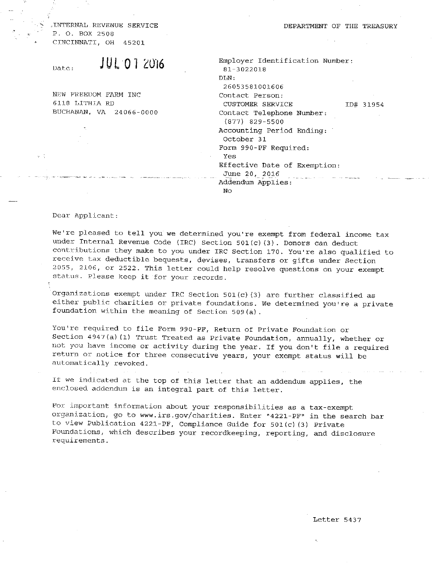$\mathcal{H}^{\mathcal{A}}(\mathcal{A})$ 

, INTERNAL REVENUE SERVICE P. O. BOX 2508 CINCINNATI, OH 45201

**JUL 07 2016** Date:

NEW FREEDOM FARM INC 6118 LITHIA RD BUCHANAN, VA 24066-0000

Employer Identification Number: 81-3022018  $DLN$ : 26053581001606 Contact Person: CUSTOMER SERVICE ID# 31954 Contact Telephone Number:  $(877)$  829-5500 Accounting Period Ending: October 31 Form 990-PF Required: Yes

Effective Date of Exemption: June 20, 2016

Addendum Applies:

No

Dear Applicant:

We're pleased to tell you we determined you're exempt from federal income tax under Internal Revenue Code (IRC) Section  $501(c)$  (3). Donors can deduct contributions they make to you under IRC Section 170. You're also qualified to receive tax deductible bequests, devises, transfers or gifts under Section 2055, 2106, or 2522. This letter could help resolve questions on your exempt status. Please keep it for your records.

DEPARTMENT OF THE TREASURY

Organizations exempt under IRC Section 501(c)(3) are further classified as either public charities or private foundations. We determined you're a private foundation within the meaning of Section 509(a).

You're required to file Form 990-PF, Return of Private Foundation or Section 4947(a)(1) Trust Treated as Private Foundation, annually, whether or not you have income or activity during the year. If you don't file a required return or notice for three consecutive years, your exempt status will be automatically revoked.

If we indicated at the top of this letter that an addendum applies, the enclosed addendum is an integral part of this letter.

the control of the control of the control of the

For important information about your responsibilities as a tax-exempt organization, go to www.irs.gov/charities. Enter "4221-PF" in the search bar to view Publication 4221-PF, Compliance Guide for 501(c)(3) Private Foundations, which describes your recordkeeping, reporting, and disclosure requirements.

## Letter 5437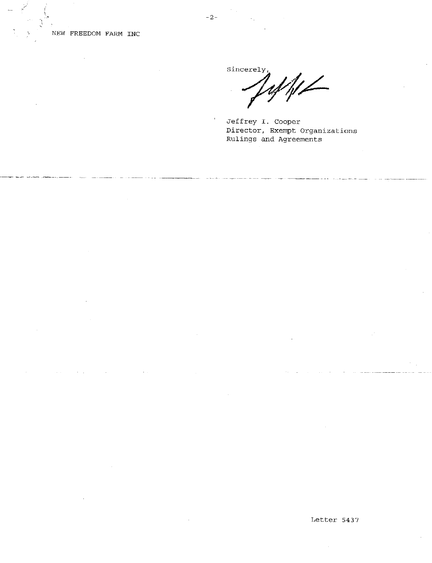

# NEW FREEDOM FARM INC

Sincerely,

Jeffrey I. Cooper Director, Exempt Organizations Rulings and Agreements

the contract of the contract of the contract of

the contract of the contract of the con-

### Letter 5437

**Contractor**